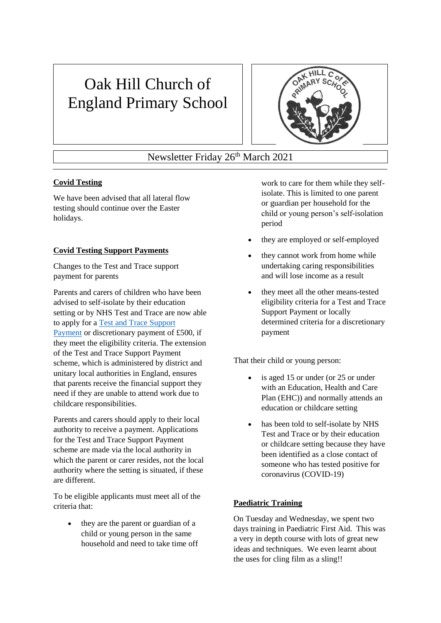# Oak Hill Church of England Primary School



# Newsletter Friday 26<sup>th</sup> March 2021

# **Covid Testing**

We have been advised that all lateral flow testing should continue over the Easter holidays.

# **Covid Testing Support Payments**

Changes to the Test and Trace support payment for parents

Parents and carers of children who have been advised to self-isolate by their education setting or by NHS Test and Trace are now able to apply for a [Test and Trace Support](https://www.gov.uk/government/publications/test-and-trace-support-payment-scheme-claiming-financial-support/claiming-financial-support-under-the-test-and-trace-support-payment-scheme?utm_source=22%20March%202021%20C19&utm_medium=Daily%20Email%20C19&utm_campaign=DfE%20C19)  [Payment](https://www.gov.uk/government/publications/test-and-trace-support-payment-scheme-claiming-financial-support/claiming-financial-support-under-the-test-and-trace-support-payment-scheme?utm_source=22%20March%202021%20C19&utm_medium=Daily%20Email%20C19&utm_campaign=DfE%20C19) or discretionary payment of £500, if they meet the eligibility criteria. The extension of the Test and Trace Support Payment scheme, which is administered by district and unitary local authorities in England, ensures that parents receive the financial support they need if they are unable to attend work due to childcare responsibilities.

Parents and carers should apply to their local authority to receive a payment. Applications for the Test and Trace Support Payment scheme are made via the local authority in which the parent or carer resides, not the local authority where the setting is situated, if these are different.

To be eligible applicants must meet all of the criteria that:

• they are the parent or guardian of a child or young person in the same household and need to take time off work to care for them while they selfisolate. This is limited to one parent or guardian per household for the child or young person's self-isolation period

- they are employed or self-employed
- they cannot work from home while undertaking caring responsibilities and will lose income as a result
- they meet all the other means-tested eligibility criteria for a Test and Trace Support Payment or locally determined criteria for a discretionary payment

That their child or young person:

- is aged 15 or under (or 25 or under with an Education, Health and Care Plan (EHC)) and normally attends an education or childcare setting
- has been told to self-isolate by NHS Test and Trace or by their education or childcare setting because they have been identified as a close contact of someone who has tested positive for coronavirus (COVID-19)

#### **Paediatric Training**

On Tuesday and Wednesday, we spent two days training in Paediatric First Aid. This was a very in depth course with lots of great new ideas and techniques. We even learnt about the uses for cling film as a sling!!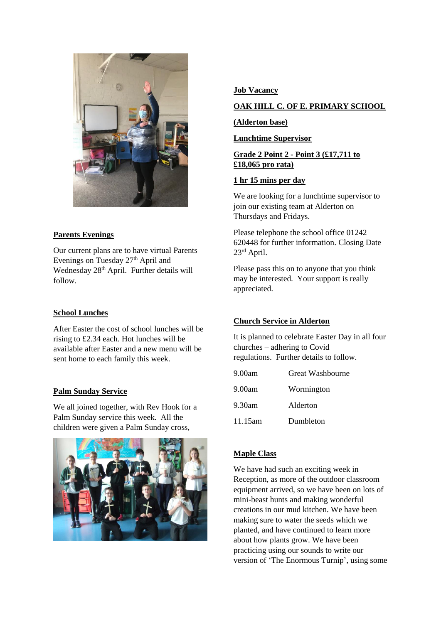

# **Parents Evenings**

Our current plans are to have virtual Parents Evenings on Tuesday 27<sup>th</sup> April and Wednesday 28<sup>th</sup> April. Further details will follow.

#### **School Lunches**

After Easter the cost of school lunches will be rising to £2.34 each. Hot lunches will be available after Easter and a new menu will be sent home to each family this week.

#### **Palm Sunday Service**

We all joined together, with Rev Hook for a Palm Sunday service this week. All the children were given a Palm Sunday cross,



#### **Job Vacancy**

# **OAK HILL C. OF E. PRIMARY SCHOOL**

#### **(Alderton base)**

#### **Lunchtime Supervisor**

#### **Grade 2 Point 2 - Point 3 (£17,711 to £18,065 pro rata)**

#### **1 hr 15 mins per day**

We are looking for a lunchtime supervisor to join our existing team at Alderton on Thursdays and Fridays.

Please telephone the school office 01242 620448 for further information. Closing Date 23rd April.

Please pass this on to anyone that you think may be interested. Your support is really appreciated.

#### **Church Service in Alderton**

It is planned to celebrate Easter Day in all four churches – adhering to Covid regulations. Further details to follow.

| 9.00am  | <b>Great Washbourne</b> |
|---------|-------------------------|
| 9.00am  | Wormington              |
| 9.30am  | Alderton                |
| 11.15am | Dumbleton               |

# **Maple Class**

We have had such an exciting week in Reception, as more of the outdoor classroom equipment arrived, so we have been on lots of mini-beast hunts and making wonderful creations in our mud kitchen. We have been making sure to water the seeds which we planted, and have continued to learn more about how plants grow. We have been practicing using our sounds to write our version of 'The Enormous Turnip', using some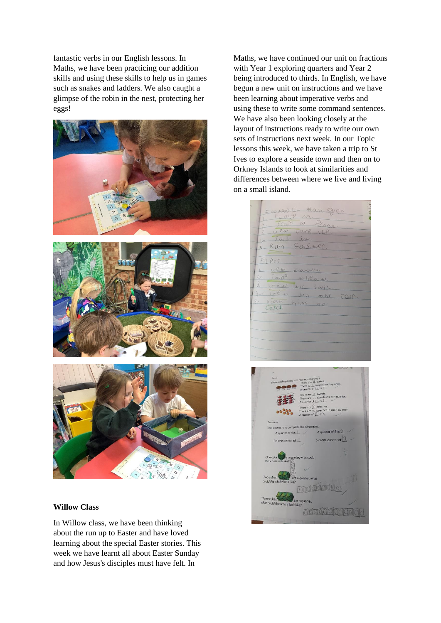fantastic verbs in our English lessons. In Maths, we have been practicing our addition skills and using these skills to help us in games such as snakes and ladders. We also caught a glimpse of the robin in the nest, protecting her eggs!



#### **Willow Class**

In Willow class, we have been thinking about the run up to Easter and have loved learning about the special Easter stories. This week we have learnt all about Easter Sunday and how Jesus's disciples must have felt. In

Maths, we have continued our unit on fractions with Year 1 exploring quarters and Year 2 being introduced to thirds. In English, we have begun a new unit on instructions and we have been learning about imperative verbs and using these to write some command sentences. We have also been looking closely at the layout of instructions ready to write our own sets of instructions next week. In our Topic lessons this week, we have taken a trip to St Ives to explore a seaside town and then on to Orkney Islands to look at similarities and differences between where we live and living on a small island.

| EPRADULL MORALDIER<br>$1$ $10y$ or.                       |  |
|-----------------------------------------------------------|--|
| 1 Jeope a grave.<br>3 ver back UP.                        |  |
| 4.5a5iv.<br>5 RILA SOUSWER.                               |  |
| PLEes                                                     |  |
| $Ll +$<br>davn.<br>2. Stop<br>$\pm h \ell_{N} \pm \ell$ . |  |
| $3.0-80$<br>in joil.<br> U <br>I'M the COUP.              |  |
| $5.$ kach<br>$hm$ no.<br>Catch                            |  |
|                                                           |  |
|                                                           |  |
|                                                           |  |

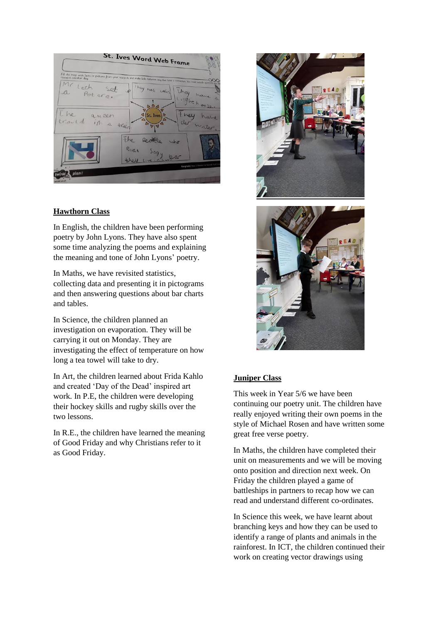

# **Hawthorn Class**

In English, the children have been performing poetry by John Lyons. They have also spent some time analyzing the poems and explaining the meaning and tone of John Lyons' poetry.

In Maths, we have revisited statistics, collecting data and presenting it in pictograms and then answering questions about bar charts and tables.

In Science, the children planned an investigation on evaporation. They will be carrying it out on Monday. They are investigating the effect of temperature on how long a tea towel will take to dry.

In Art, the children learned about Frida Kahlo and created 'Day of the Dead' inspired art work. In P.E, the children were developing their hockey skills and rugby skills over the two lessons.

In R.E., the children have learned the meaning of Good Friday and why Christians refer to it as Good Friday.





#### **Juniper Class**

This week in Year 5/6 we have been continuing our poetry unit. The children have really enjoyed writing their own poems in the style of Michael Rosen and have written some great free verse poetry.

In Maths, the children have completed their unit on measurements and we will be moving onto position and direction next week. On Friday the children played a game of battleships in partners to recap how we can read and understand different co-ordinates.

In Science this week, we have learnt about branching keys and how they can be used to identify a range of plants and animals in the rainforest. In ICT, the children continued their work on creating vector drawings using